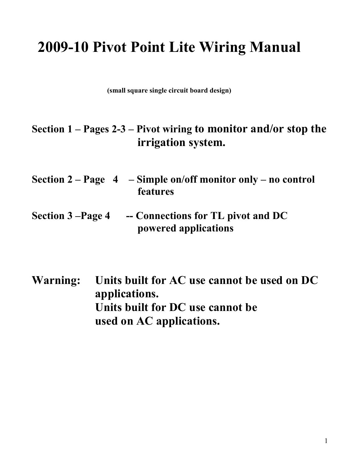# **2009-10 Pivot Point Lite Wiring Manual**

**(small square single circuit board design)** 

## **Section 1 – Pages 2-3 – Pivot wiring to monitor and/or stop the irrigation system.**

- **Section 2 Page 4 Simple on/off monitor only no control features**
- Section 3 –Page 4 -- Connections for TL pivot and DC **powered applications**
- **Warning: Units built for AC use cannot be used on DC applications. Units built for DC use cannot be used on AC applications.**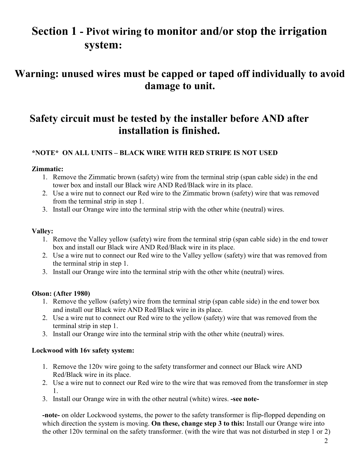## **Section 1 - Pivot wiring to monitor and/or stop the irrigation system:**

### **Warning: unused wires must be capped or taped off individually to avoid damage to unit.**

### **Safety circuit must be tested by the installer before A/D after installation is finished.**

#### **\*/OTE\* O/ ALL U/ITS – BLACK WIRE WITH RED STRIPE IS /OT USED**

#### **Zimmatic:**

- 1. Remove the Zimmatic brown (safety) wire from the terminal strip (span cable side) in the end tower box and install our Black wire AND Red/Black wire in its place.
- 2. Use a wire nut to connect our Red wire to the Zimmatic brown (safety) wire that was removed from the terminal strip in step 1.
- 3. Install our Orange wire into the terminal strip with the other white (neutral) wires.

#### **Valley:**

- 1. Remove the Valley yellow (safety) wire from the terminal strip (span cable side) in the end tower box and install our Black wire AND Red/Black wire in its place.
- 2. Use a wire nut to connect our Red wire to the Valley yellow (safety) wire that was removed from the terminal strip in step 1.
- 3. Install our Orange wire into the terminal strip with the other white (neutral) wires.

#### **Olson: (After 1980)**

- 1. Remove the yellow (safety) wire from the terminal strip (span cable side) in the end tower box and install our Black wire AND Red/Black wire in its place.
- 2. Use a wire nut to connect our Red wire to the yellow (safety) wire that was removed from the terminal strip in step 1.
- 3. Install our Orange wire into the terminal strip with the other white (neutral) wires.

#### **Lockwood with 16v safety system:**

- 1. Remove the 120v wire going to the safety transformer and connect our Black wire AND Red/Black wire in its place.
- 2. Use a wire nut to connect our Red wire to the wire that was removed from the transformer in step 1.
- 3. Install our Orange wire in with the other neutral (white) wires. **-see note-**

**-note-** on older Lockwood systems, the power to the safety transformer is flip-flopped depending on which direction the system is moving. **On these, change step 3 to this:** Install our Orange wire into the other 120v terminal on the safety transformer. (with the wire that was not disturbed in step 1 or 2)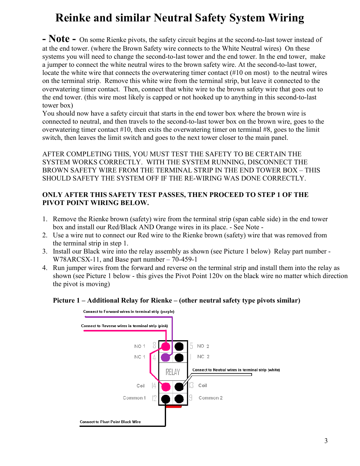## **Reinke and similar Neutral Safety System Wiring**

- **Note** - On some Rienke pivots, the safety circuit begins at the second-to-last tower instead of at the end tower. (where the Brown Safety wire connects to the White Neutral wires) On these systems you will need to change the second-to-last tower and the end tower. In the end tower, make a jumper to connect the white neutral wires to the brown safety wire. At the second-to-last tower, locate the white wire that connects the overwatering timer contact (#10 on most) to the neutral wires on the terminal strip. Remove this white wire from the terminal strip, but leave it connected to the overwatering timer contact. Then, connect that white wire to the brown safety wire that goes out to the end tower. (this wire most likely is capped or not hooked up to anything in this second-to-last tower box)

You should now have a safety circuit that starts in the end tower box where the brown wire is connected to neutral, and then travels to the second-to-last tower box on the brown wire, goes to the overwatering timer contact #10, then exits the overwatering timer on terminal #8, goes to the limit switch, then leaves the limit switch and goes to the next tower closer to the main panel.

AFTER COMPLETING THIS, YOU MUST TEST THE SAFETY TO BE CERTAIN THE SYSTEM WORKS CORRECTLY. WITH THE SYSTEM RUNNING, DISCONNECT THE BROWN SAFETY WIRE FROM THE TERMINAL STRIP IN THE END TOWER BOX – THIS SHOULD SAFETY THE SYSTEM OFF IF THE RE-WIRING WAS DONE CORRECTLY.

#### **ONLY AFTER THIS SAFETY TEST PASSES, THEN PROCEED TO STEP 1 OF THE PIVOT POINT WIRING BELOW.**

- 1. Remove the Rienke brown (safety) wire from the terminal strip (span cable side) in the end tower box and install our Red/Black AND Orange wires in its place. - See Note -
- 2. Use a wire nut to connect our Red wire to the Rienke brown (safety) wire that was removed from the terminal strip in step 1.
- 3. Install our Black wire into the relay assembly as shown (see Picture 1 below) Relay part number W78ARCSX-11, and Base part number – 70-459-1
- 4. Run jumper wires from the forward and reverse on the terminal strip and install them into the relay as shown (see Picture 1 below - this gives the Pivot Point 120v on the black wire no matter which direction the pivot is moving)

#### **Picture 1 – Additional Relay for Rienke – (other neutral safety type pivots similar)**

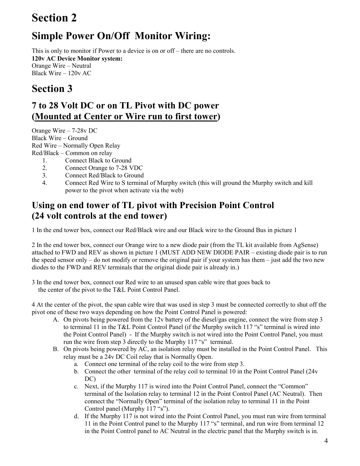## **Section 2**

## **Simple Power On/Off Monitor Wiring:**

This is only to monitor if Power to a device is on or off – there are no controls. **120v AC Device Monitor system:**  Orange Wire – Neutral Black Wire – 120v AC

### **Section 3**

### **7 to 28 Volt DC or on TL Pivot with DC power (Mounted at Center or Wire run to first tower)**

Orange Wire – 7-28v DC Black Wire – Ground Red Wire – Normally Open Relay Red/Black – Common on relay 1. Connect Black to Ground

- 2. Connect Orange to 7-28 VDC
- 3. Connect Red/Black to Ground
- 4. Connect Red Wire to S terminal of Murphy switch (this will ground the Murphy switch and kill power to the pivot when activate via the web)

### **Using on end tower of TL pivot with Precision Point Control (24 volt controls at the end tower)**

1 In the end tower box, connect our Red/Black wire and our Black wire to the Ground Bus in picture 1

2 In the end tower box, connect our Orange wire to a new diode pair (from the TL kit available from AgSense) attached to FWD and REV as shown in picture 1 (MUST ADD NEW DIODE PAIR – existing diode pair is to run the speed sensor only – do not modify or remove the original pair if your system has them – just add the two new diodes to the FWD and REV terminals that the original diode pair is already in.)

3 In the end tower box, connect our Red wire to an unused span cable wire that goes back to the center of the pivot to the T&L Point Control Panel.

4 At the center of the pivot, the span cable wire that was used in step 3 must be connected correctly to shut off the pivot one of these two ways depending on how the Point Control Panel is powered:

- A. On pivots being powered from the 12v battery of the diesel/gas engine, connect the wire from step 3 to terminal 11 in the T&L Point Control Panel (if the Murphy switch 117 "s" terminal is wired into the Point Control Panel) - If the Murphy switch is not wired into the Point Control Panel, you must run the wire from step 3 directly to the Murphy 117 "s" terminal.
- B. On pivots being powered by AC, an isolation relay must be installed in the Point Control Panel. This relay must be a 24v DC Coil relay that is Normally Open.
	- a. Connect one terminal of the relay coil to the wire from step 3.
	- b. Connect the other terminal of the relay coil to terminal 10 in the Point Control Panel (24v DC)
	- c. Next, if the Murphy 117 is wired into the Point Control Panel, connect the "Common" terminal of the Isolation relay to terminal 12 in the Point Control Panel (AC Neutral). Then connect the "Normally Open" terminal of the isolation relay to terminal 11 in the Point Control panel (Murphy 117 "s").
	- d. If the Murphy 117 is not wired into the Point Control Panel, you must run wire from terminal 11 in the Point Control panel to the Murphy 117 "s" terminal, and run wire from terminal 12 in the Point Control panel to AC Neutral in the electric panel that the Murphy switch is in.